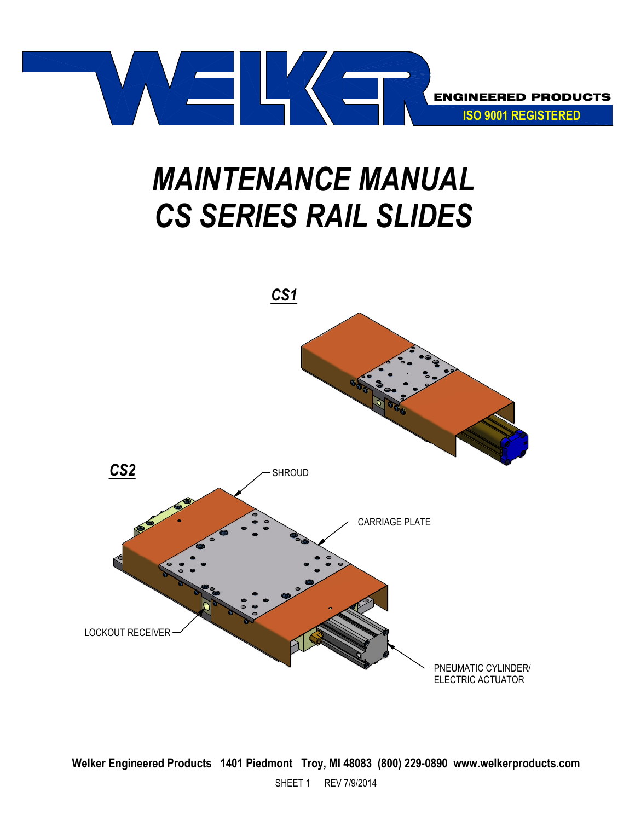

# MAINTENANCE MANUAL CS SERIES RAIL SLIDES

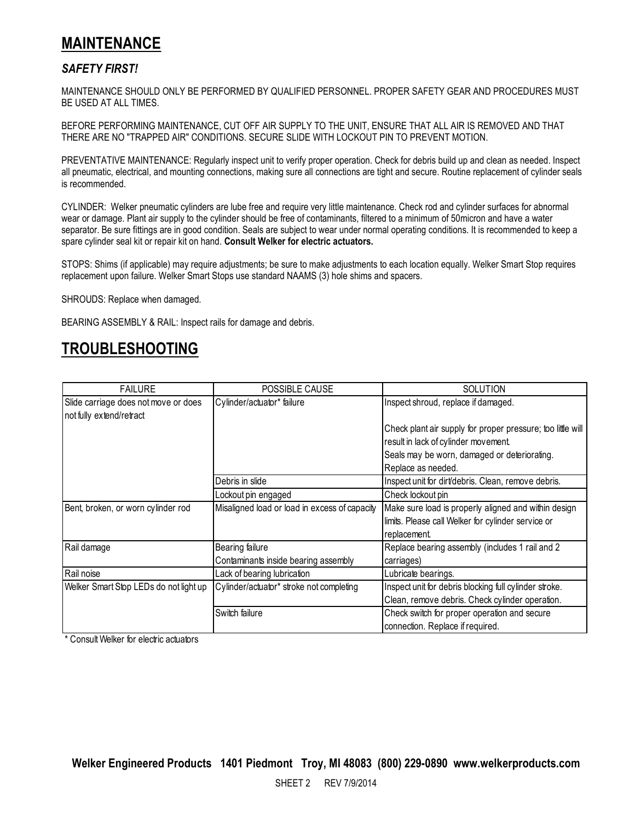## MAINTENANCE

### SAFETY FIRST!

MAINTENANCE SHOULD ONLY BE PERFORMED BY QUALIFIED PERSONNEL. PROPER SAFETY GEAR AND PROCEDURES MUST BE USED AT ALL TIMES.

BEFORE PERFORMING MAINTENANCE, CUT OFF AIR SUPPLY TO THE UNIT, ENSURE THAT ALL AIR IS REMOVED AND THAT THERE ARE NO "TRAPPED AIR" CONDITIONS. SECURE SLIDE WITH LOCKOUT PIN TO PREVENT MOTION.

PREVENTATIVE MAINTENANCE: Regularly inspect unit to verify proper operation. Check for debris build up and clean as needed. Inspect all pneumatic, electrical, and mounting connections, making sure all connections are tight and secure. Routine replacement of cylinder seals is recommended.

CYLINDER: Welker pneumatic cylinders are lube free and require very little maintenance. Check rod and cylinder surfaces for abnormal wear or damage. Plant air supply to the cylinder should be free of contaminants, filtered to a minimum of 50micron and have a water separator. Be sure fittings are in good condition. Seals are subject to wear under normal operating conditions. It is recommended to keep a spare cylinder seal kit or repair kit on hand. Consult Welker for electric actuators.

STOPS: Shims (if applicable) may require adjustments; be sure to make adjustments to each location equally. Welker Smart Stop requires replacement upon failure. Welker Smart Stops use standard NAAMS (3) hole shims and spacers.

SHROUDS: Replace when damaged.

BEARING ASSEMBLY & RAIL: Inspect rails for damage and debris.

## TROUBLESHOOTING

| <b>FAILURE</b>                         | POSSIBLE CAUSE                                | <b>SOLUTION</b>                                             |
|----------------------------------------|-----------------------------------------------|-------------------------------------------------------------|
| Slide carriage does not move or does   | Cylinder/actuator* failure                    | Inspect shroud, replace if damaged.                         |
| not fully extend/retract               |                                               |                                                             |
|                                        |                                               | Check plant air supply for proper pressure; too little will |
|                                        |                                               | result in lack of cylinder movement.                        |
|                                        |                                               | Seals may be worn, damaged or deteriorating.                |
|                                        |                                               | Replace as needed.                                          |
|                                        | Debris in slide                               | Inspect unit for dirt/debris. Clean, remove debris.         |
|                                        | Lockout pin engaged                           | Check lockout pin                                           |
| Bent, broken, or worn cylinder rod     | Misaligned load or load in excess of capacity | Make sure load is properly aligned and within design        |
|                                        |                                               | limits. Please call Welker for cylinder service or          |
|                                        |                                               | replacement.                                                |
| Rail damage                            | Bearing failure                               | Replace bearing assembly (includes 1 rail and 2             |
|                                        | Contaminants inside bearing assembly          | carriages)                                                  |
| Rail noise                             | Lack of bearing lubrication                   | Lubricate bearings.                                         |
| Welker Smart Stop LEDs do not light up | Cylinder/actuator* stroke not completing      | Inspect unit for debris blocking full cylinder stroke.      |
|                                        |                                               | Clean, remove debris. Check cylinder operation.             |
|                                        | Switch failure                                | Check switch for proper operation and secure                |
|                                        |                                               | connection. Replace if required.                            |

\* Consult Welker for electric actuators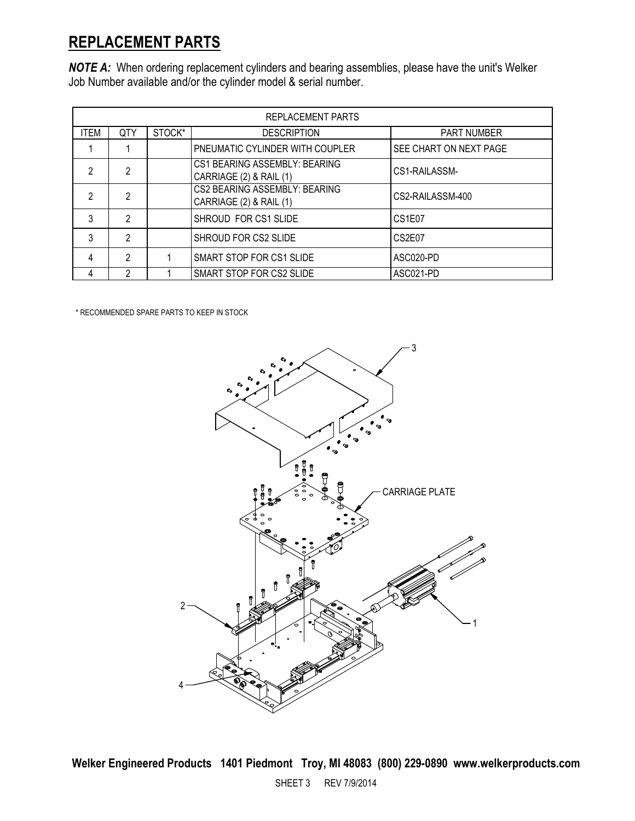## REPLACEMENT PARTS

NOTE A: When ordering replacement cylinders and bearing assemblies, please have the unit's Welker Job Number available and/or the cylinder model & serial number.

| REPLACEMENT PARTS |                |        |                                                          |                                 |  |
|-------------------|----------------|--------|----------------------------------------------------------|---------------------------------|--|
| <b>ITEM</b>       | <b>QTY</b>     | STOCK* | <b>DESCRIPTION</b>                                       | <b>PART NUMBER</b>              |  |
|                   |                |        | PNEUMATIC CYLINDER WITH COUPLER                          | SEE CHART ON NEXT PAGE          |  |
| 2                 | $\mathfrak{p}$ |        | CS1 BEARING ASSEMBLY: BEARING<br>CARRIAGE (2) & RAIL (1) | CS1-RAILASSM-                   |  |
| 2                 | $\mathfrak{p}$ |        | CS2 BEARING ASSEMBLY: BEARING<br>CARRIAGE (2) & RAIL (1) | CS2-RAILASSM-400                |  |
| 3                 | $\mathfrak{p}$ |        | SHROUD FOR CS1 SLIDE                                     | CS <sub>1</sub> F <sub>07</sub> |  |
| 3                 | $\mathfrak{p}$ |        | SHROUD FOR CS2 SLIDE                                     | CS2E07                          |  |
| 4                 | $\mathfrak{p}$ |        | SMART STOP FOR CS1 SLIDE                                 | ASC020-PD                       |  |
|                   | っ              |        | SMART STOP FOR CS2 SLIDE                                 | ASC021-PD                       |  |

\* RECOMMENDED SPARE PARTS TO KEEP IN STOCK

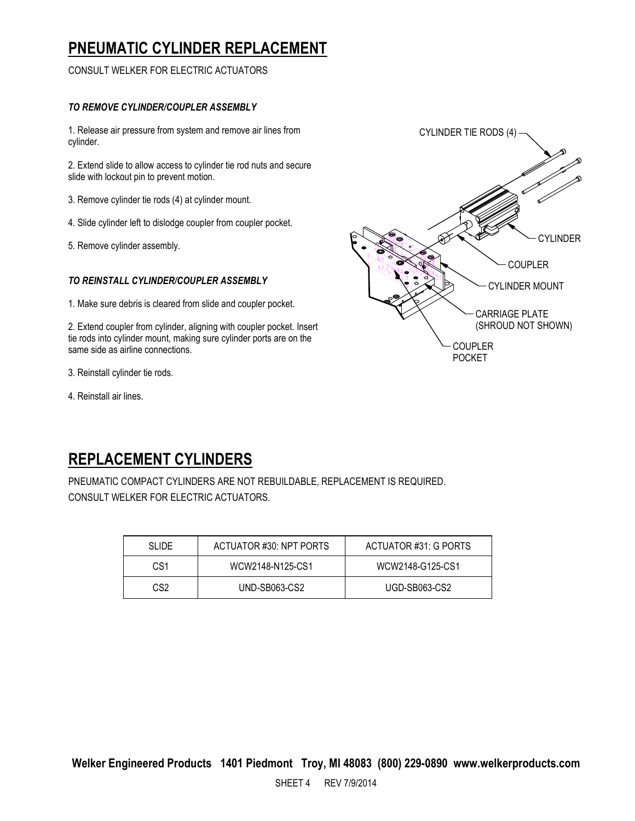# PNEUMATIC CYLINDER REPLACEMENT

CONSULT WELKER FOR ELECTRIC ACTUATORS

#### TO REMOVE CYLINDER/COUPLER ASSEMBLY

1. Release air pressure from system and remove air lines from cylinder.

2. Extend slide to allow access to cylinder tie rod nuts and secure slide with lockout pin to prevent motion.

3. Remove cylinder tie rods (4) at cylinder mount.

- 4. Slide cylinder left to dislodge coupler from coupler pocket.
- 5. Remove cylinder assembly.

#### TO REINSTALL CYLINDER/COUPLER ASSEMBLY

1. Make sure debris is cleared from slide and coupler pocket.

2. Extend coupler from cylinder, aligning with coupler pocket. Insert tie rods into cylinder mount, making sure cylinder ports are on the same side as airline connections.

3. Reinstall cylinder tie rods.

4. Reinstall air lines.



# REPLACEMENT CYLINDERS

PNEUMATIC COMPACT CYLINDERS ARE NOT REBUILDABLE, REPLACEMENT IS REQUIRED. CONSULT WELKER FOR ELECTRIC ACTUATORS.

| <b>SLIDE</b> | ACTUATOR #30: NPT PORTS | ACTUATOR #31: G PORTS |
|--------------|-------------------------|-----------------------|
| CS1          | WCW2148-N125-CS1        | WCW2148-G125-CS1      |
| CS2          | UND-SB063-CS2           | UGD-SB063-CS2         |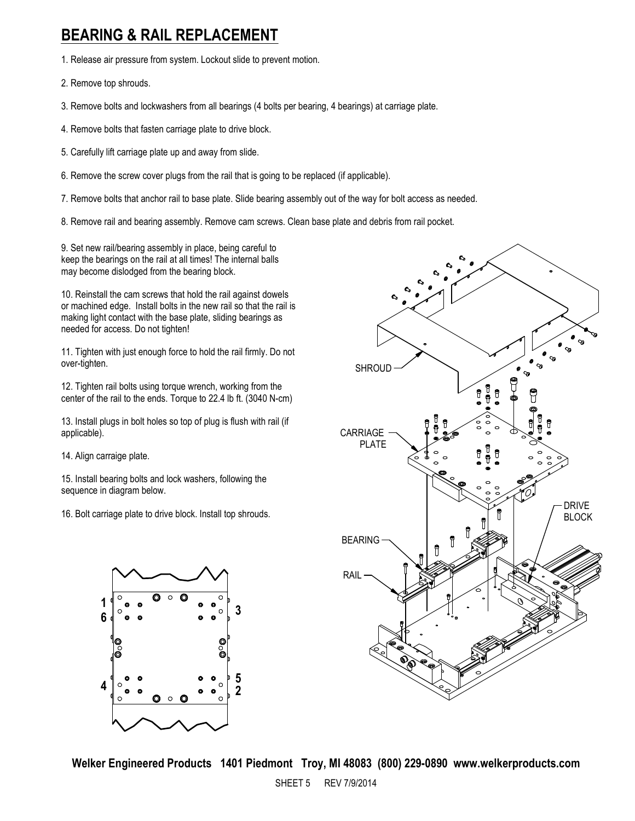## BEARING & RAIL REPLACEMENT

1. Release air pressure from system. Lockout slide to prevent motion.

2. Remove top shrouds.

3. Remove bolts and lockwashers from all bearings (4 bolts per bearing, 4 bearings) at carriage plate.

- 4. Remove bolts that fasten carriage plate to drive block.
- 5. Carefully lift carriage plate up and away from slide.
- 6. Remove the screw cover plugs from the rail that is going to be replaced (if applicable).

7. Remove bolts that anchor rail to base plate. Slide bearing assembly out of the way for bolt access as needed.

8. Remove rail and bearing assembly. Remove cam screws. Clean base plate and debris from rail pocket.

9. Set new rail/bearing assembly in place, being careful to keep the bearings on the rail at all times! The internal balls may become dislodged from the bearing block.

10. Reinstall the cam screws that hold the rail against dowels or machined edge. Install bolts in the new rail so that the rail is making light contact with the base plate, sliding bearings as needed for access. Do not tighten!

11. Tighten with just enough force to hold the rail firmly. Do not over-tighten.

12. Tighten rail bolts using torque wrench, working from the center of the rail to the ends. Torque to 22.4 lb ft. (3040 N-cm)

13. Install plugs in bolt holes so top of plug is flush with rail (if applicable).

14. Align carraige plate.

15. Install bearing bolts and lock washers, following the sequence in diagram below.

16. Bolt carriage plate to drive block. Install top shrouds.